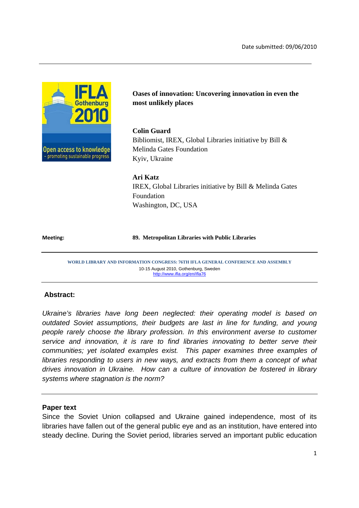

# **Oases of innovation: Uncovering innovation in even the most unlikely places**

## **Colin Guard**

Bibliomist, IREX, Global Libraries initiative by Bill & Melinda Gates Foundation Kyiv, Ukraine

## **Ari Katz**

IREX, Global Libraries initiative by Bill & Melinda Gates Foundation Washington, DC, USA

#### **Meeting: 89. Metropolitan Libraries with Public Libraries**

**WORLD LIBRARY AND INFORMATION CONGRESS: 76TH IFLA GENERAL CONFERENCE AND ASSEMBLY**  10-15 August 2010, Gothenburg, Sweden http://www.ifla.org/en/ifla76

## **Abstract:**

*Ukraine's libraries have long been neglected: their operating model is based on outdated Soviet assumptions, their budgets are last in line for funding, and young people rarely choose the library profession. In this environment averse to customer service and innovation, it is rare to find libraries innovating to better serve their communities; yet isolated examples exist. This paper examines three examples of libraries responding to users in new ways, and extracts from them a concept of what drives innovation in Ukraine. How can a culture of innovation be fostered in library systems where stagnation is the norm?* 

#### **Paper text**

Since the Soviet Union collapsed and Ukraine gained independence, most of its libraries have fallen out of the general public eye and as an institution, have entered into steady decline. During the Soviet period, libraries served an important public education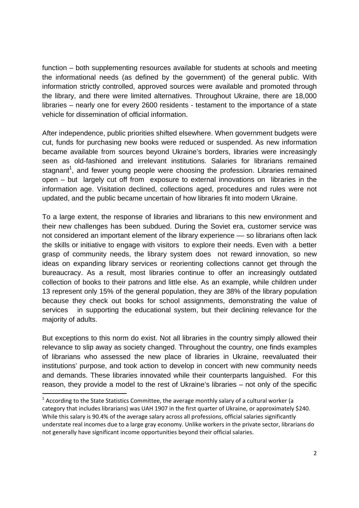function – both supplementing resources available for students at schools and meeting the informational needs (as defined by the government) of the general public. With information strictly controlled, approved sources were available and promoted through the library, and there were limited alternatives. Throughout Ukraine, there are 18,000 libraries – nearly one for every 2600 residents - testament to the importance of a state vehicle for dissemination of official information.

After independence, public priorities shifted elsewhere. When government budgets were cut, funds for purchasing new books were reduced or suspended. As new information became available from sources beyond Ukraine's borders, libraries were increasingly seen as old-fashioned and irrelevant institutions. Salaries for librarians remained stagnant<sup>1</sup>, and fewer young people were choosing the profession. Libraries remained open – but largely cut off from exposure to external innovations on libraries in the information age. Visitation declined, collections aged, procedures and rules were not updated, and the public became uncertain of how libraries fit into modern Ukraine.

To a large extent, the response of libraries and librarians to this new environment and their new challenges has been subdued. During the Soviet era, customer service was not considered an important element of the library experience –– so librarians often lack the skills or initiative to engage with visitors to explore their needs. Even with a better grasp of community needs, the library system does not reward innovation, so new ideas on expanding library services or reorienting collections cannot get through the bureaucracy. As a result, most libraries continue to offer an increasingly outdated collection of books to their patrons and little else. As an example, while children under 13 represent only 15% of the general population, they are 38% of the library population because they check out books for school assignments, demonstrating the value of services in supporting the educational system, but their declining relevance for the majority of adults.

But exceptions to this norm do exist. Not all libraries in the country simply allowed their relevance to slip away as society changed. Throughout the country, one finds examples of librarians who assessed the new place of libraries in Ukraine, reevaluated their institutions' purpose, and took action to develop in concert with new community needs and demands. These libraries innovated while their counterparts languished. For this reason, they provide a model to the rest of Ukraine's libraries – not only of the specific

**.** 

 $^1$  According to the State Statistics Committee, the average monthly salary of a cultural worker (a category that includes librarians) was UAH 1907 in the first quarter of Ukraine, or approximately \$240. While this salary is 90.4% of the average salary across all professions, official salaries significantly understate real incomes due to a large gray economy. Unlike workers in the private sector, librarians do not generally have significant income opportunities beyond their official salaries.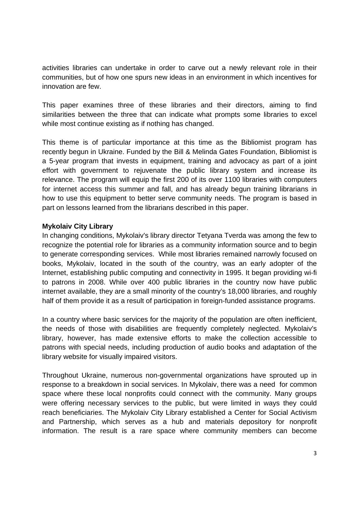activities libraries can undertake in order to carve out a newly relevant role in their communities, but of how one spurs new ideas in an environment in which incentives for innovation are few.

This paper examines three of these libraries and their directors, aiming to find similarities between the three that can indicate what prompts some libraries to excel while most continue existing as if nothing has changed.

This theme is of particular importance at this time as the Bibliomist program has recently begun in Ukraine. Funded by the Bill & Melinda Gates Foundation, Bibliomist is a 5-year program that invests in equipment, training and advocacy as part of a joint effort with government to rejuvenate the public library system and increase its relevance. The program will equip the first 200 of its over 1100 libraries with computers for internet access this summer and fall, and has already begun training librarians in how to use this equipment to better serve community needs. The program is based in part on lessons learned from the librarians described in this paper.

### **Mykolaiv City Library**

In changing conditions, Mykolaiv's library director Tetyana Tverda was among the few to recognize the potential role for libraries as a community information source and to begin to generate corresponding services. While most libraries remained narrowly focused on books, Mykolaiv, located in the south of the country, was an early adopter of the Internet, establishing public computing and connectivity in 1995. It began providing wi-fi to patrons in 2008. While over 400 public libraries in the country now have public internet available, they are a small minority of the country's 18,000 libraries, and roughly half of them provide it as a result of participation in foreign-funded assistance programs.

In a country where basic services for the majority of the population are often inefficient, the needs of those with disabilities are frequently completely neglected. Mykolaiv's library, however, has made extensive efforts to make the collection accessible to patrons with special needs, including production of audio books and adaptation of the library website for visually impaired visitors.

Throughout Ukraine, numerous non-governmental organizations have sprouted up in response to a breakdown in social services. In Mykolaiv, there was a need for common space where these local nonprofits could connect with the community. Many groups were offering necessary services to the public, but were limited in ways they could reach beneficiaries. The Mykolaiv City Library established a Center for Social Activism and Partnership, which serves as a hub and materials depository for nonprofit information. The result is a rare space where community members can become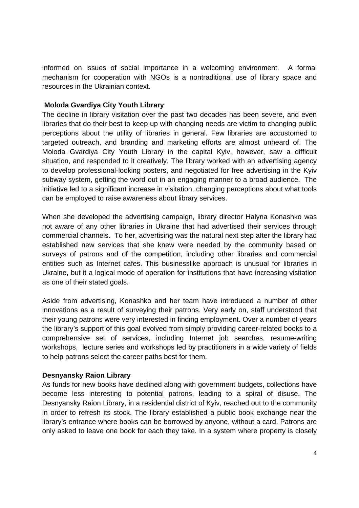informed on issues of social importance in a welcoming environment. A formal mechanism for cooperation with NGOs is a nontraditional use of library space and resources in the Ukrainian context.

### **Moloda Gvardiya City Youth Library**

The decline in library visitation over the past two decades has been severe, and even libraries that do their best to keep up with changing needs are victim to changing public perceptions about the utility of libraries in general. Few libraries are accustomed to targeted outreach, and branding and marketing efforts are almost unheard of. The Moloda Gvardiya City Youth Library in the capital Kyiv, however, saw a difficult situation, and responded to it creatively. The library worked with an advertising agency to develop professional-looking posters, and negotiated for free advertising in the Kyiv subway system, getting the word out in an engaging manner to a broad audience. The initiative led to a significant increase in visitation, changing perceptions about what tools can be employed to raise awareness about library services.

When she developed the advertising campaign, library director Halyna Konashko was not aware of any other libraries in Ukraine that had advertised their services through commercial channels. To her, advertising was the natural next step after the library had established new services that she knew were needed by the community based on surveys of patrons and of the competition, including other libraries and commercial entities such as Internet cafes. This businesslike approach is unusual for libraries in Ukraine, but it a logical mode of operation for institutions that have increasing visitation as one of their stated goals.

Aside from advertising, Konashko and her team have introduced a number of other innovations as a result of surveying their patrons. Very early on, staff understood that their young patrons were very interested in finding employment. Over a number of years the library's support of this goal evolved from simply providing career-related books to a comprehensive set of services, including Internet job searches, resume-writing workshops, lecture series and workshops led by practitioners in a wide variety of fields to help patrons select the career paths best for them.

## **Desnyansky Raion Library**

As funds for new books have declined along with government budgets, collections have become less interesting to potential patrons, leading to a spiral of disuse. The Desnyansky Raion Library, in a residential district of Kyiv, reached out to the community in order to refresh its stock. The library established a public book exchange near the library's entrance where books can be borrowed by anyone, without a card. Patrons are only asked to leave one book for each they take. In a system where property is closely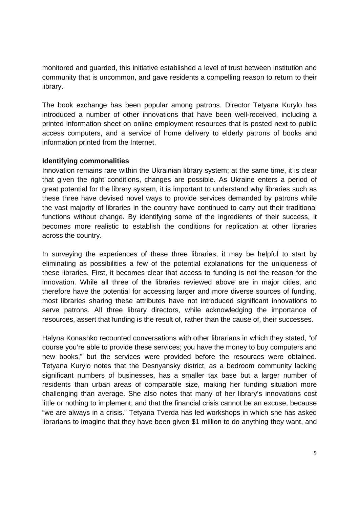monitored and guarded, this initiative established a level of trust between institution and community that is uncommon, and gave residents a compelling reason to return to their library.

The book exchange has been popular among patrons. Director Tetyana Kurylo has introduced a number of other innovations that have been well-received, including a printed information sheet on online employment resources that is posted next to public access computers, and a service of home delivery to elderly patrons of books and information printed from the Internet.

## **Identifying commonalities**

Innovation remains rare within the Ukrainian library system; at the same time, it is clear that given the right conditions, changes are possible. As Ukraine enters a period of great potential for the library system, it is important to understand why libraries such as these three have devised novel ways to provide services demanded by patrons while the vast majority of libraries in the country have continued to carry out their traditional functions without change. By identifying some of the ingredients of their success, it becomes more realistic to establish the conditions for replication at other libraries across the country.

In surveying the experiences of these three libraries, it may be helpful to start by eliminating as possibilities a few of the potential explanations for the uniqueness of these libraries. First, it becomes clear that access to funding is not the reason for the innovation. While all three of the libraries reviewed above are in major cities, and therefore have the potential for accessing larger and more diverse sources of funding, most libraries sharing these attributes have not introduced significant innovations to serve patrons. All three library directors, while acknowledging the importance of resources, assert that funding is the result of, rather than the cause of, their successes.

Halyna Konashko recounted conversations with other librarians in which they stated, "of course you're able to provide these services; you have the money to buy computers and new books," but the services were provided before the resources were obtained. Tetyana Kurylo notes that the Desnyansky district, as a bedroom community lacking significant numbers of businesses, has a smaller tax base but a larger number of residents than urban areas of comparable size, making her funding situation more challenging than average. She also notes that many of her library's innovations cost little or nothing to implement, and that the financial crisis cannot be an excuse, because "we are always in a crisis." Tetyana Tverda has led workshops in which she has asked librarians to imagine that they have been given \$1 million to do anything they want, and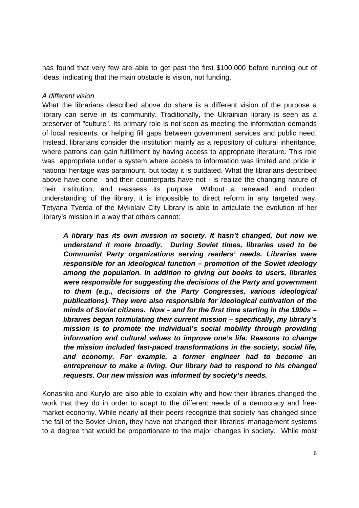has found that very few are able to get past the first \$100,000 before running out of ideas, indicating that the main obstacle is vision, not funding.

#### *A different vision*

What the librarians described above do share is a different vision of the purpose a library can serve in its community. Traditionally, the Ukrainian library is seen as a preserver of "culture". Its primary role is not seen as meeting the information demands of local residents, or helping fill gaps between government services and public need. Instead, librarians consider the institution mainly as a repository of cultural inheritance, where patrons can gain fulfillment by having access to appropriate literature. This role was appropriate under a system where access to information was limited and pride in national heritage was paramount, but today it is outdated. What the librarians described above have done - and their counterparts have not - is realize the changing nature of their institution, and reassess its purpose. Without a renewed and modern understanding of the library, it is impossible to direct reform in any targeted way. Tetyana Tverda of the Mykolaiv City Library is able to articulate the evolution of her library's mission in a way that others cannot:

*A library has its own mission in society. It hasn't changed, but now we understand it more broadly. During Soviet times, libraries used to be Communist Party organizations serving readers' needs. Libraries were responsible for an ideological function – promotion of the Soviet ideology among the population. In addition to giving out books to users, libraries were responsible for suggesting the decisions of the Party and government to them (e.g., decisions of the Party Congresses, various ideological publications). They were also responsible for ideological cultivation of the minds of Soviet citizens. Now – and for the first time starting in the 1990s – libraries began formulating their current mission – specifically, my library's mission is to promote the individual's social mobility through providing information and cultural values to improve one's life. Reasons to change the mission included fast-paced transformations in the society, social life, and economy. For example, a former engineer had to become an entrepreneur to make a living. Our library had to respond to his changed requests. Our new mission was informed by society's needs.* 

Konashko and Kurylo are also able to explain why and how their libraries changed the work that they do in order to adapt to the different needs of a democracy and freemarket economy. While nearly all their peers recognize that society has changed since the fall of the Soviet Union, they have not changed their libraries' management systems to a degree that would be proportionate to the major changes in society. While most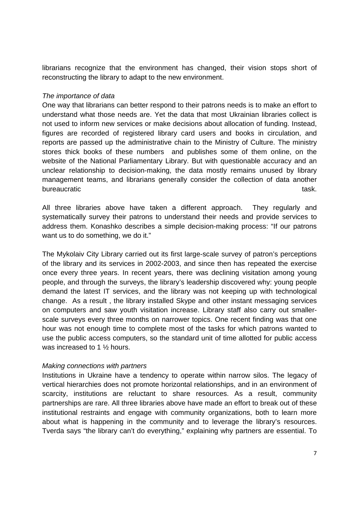librarians recognize that the environment has changed, their vision stops short of reconstructing the library to adapt to the new environment.

#### *The importance of data*

One way that librarians can better respond to their patrons needs is to make an effort to understand what those needs are. Yet the data that most Ukrainian libraries collect is not used to inform new services or make decisions about allocation of funding. Instead, figures are recorded of registered library card users and books in circulation, and reports are passed up the administrative chain to the Ministry of Culture. The ministry stores thick books of these numbers and publishes some of them online, on the website of the National Parliamentary Library. But with questionable accuracy and an unclear relationship to decision-making, the data mostly remains unused by library management teams, and librarians generally consider the collection of data another bureaucratic task. The contract of the contract of the contract of the contract of the contract of the contract of the contract of the contract of the contract of the contract of the contract of the contract of the contrac

All three libraries above have taken a different approach. They regularly and systematically survey their patrons to understand their needs and provide services to address them. Konashko describes a simple decision-making process: "If our patrons want us to do something, we do it."

The Mykolaiv City Library carried out its first large-scale survey of patron's perceptions of the library and its services in 2002-2003, and since then has repeated the exercise once every three years. In recent years, there was declining visitation among young people, and through the surveys, the library's leadership discovered why: young people demand the latest IT services, and the library was not keeping up with technological change. As a result , the library installed Skype and other instant messaging services on computers and saw youth visitation increase. Library staff also carry out smallerscale surveys every three months on narrower topics. One recent finding was that one hour was not enough time to complete most of the tasks for which patrons wanted to use the public access computers, so the standard unit of time allotted for public access was increased to 1 ½ hours.

## *Making connections with partners*

Institutions in Ukraine have a tendency to operate within narrow silos. The legacy of vertical hierarchies does not promote horizontal relationships, and in an environment of scarcity, institutions are reluctant to share resources. As a result, community partnerships are rare. All three libraries above have made an effort to break out of these institutional restraints and engage with community organizations, both to learn more about what is happening in the community and to leverage the library's resources. Tverda says "the library can't do everything," explaining why partners are essential. To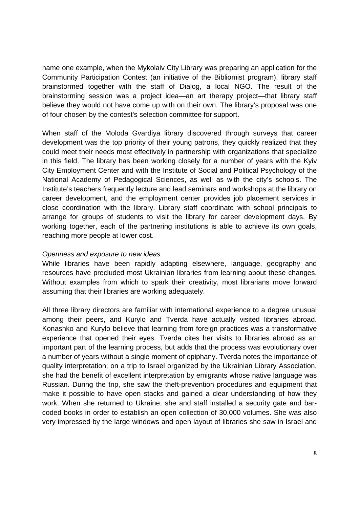name one example, when the Mykolaiv City Library was preparing an application for the Community Participation Contest (an initiative of the Bibliomist program), library staff brainstormed together with the staff of Dialog, a local NGO. The result of the brainstorming session was a project idea—an art therapy project—that library staff believe they would not have come up with on their own. The library's proposal was one of four chosen by the contest's selection committee for support.

When staff of the Moloda Gvardiya library discovered through surveys that career development was the top priority of their young patrons, they quickly realized that they could meet their needs most effectively in partnership with organizations that specialize in this field. The library has been working closely for a number of years with the Kyiv City Employment Center and with the Institute of Social and Political Psychology of the National Academy of Pedagogical Sciences, as well as with the city's schools. The Institute's teachers frequently lecture and lead seminars and workshops at the library on career development, and the employment center provides job placement services in close coordination with the library. Library staff coordinate with school principals to arrange for groups of students to visit the library for career development days. By working together, each of the partnering institutions is able to achieve its own goals, reaching more people at lower cost.

### *Openness and exposure to new ideas*

While libraries have been rapidly adapting elsewhere, language, geography and resources have precluded most Ukrainian libraries from learning about these changes. Without examples from which to spark their creativity, most librarians move forward assuming that their libraries are working adequately.

All three library directors are familiar with international experience to a degree unusual among their peers, and Kurylo and Tverda have actually visited libraries abroad. Konashko and Kurylo believe that learning from foreign practices was a transformative experience that opened their eyes. Tverda cites her visits to libraries abroad as an important part of the learning process, but adds that the process was evolutionary over a number of years without a single moment of epiphany. Tverda notes the importance of quality interpretation; on a trip to Israel organized by the Ukrainian Library Association, she had the benefit of excellent interpretation by emigrants whose native language was Russian. During the trip, she saw the theft-prevention procedures and equipment that make it possible to have open stacks and gained a clear understanding of how they work. When she returned to Ukraine, she and staff installed a security gate and barcoded books in order to establish an open collection of 30,000 volumes. She was also very impressed by the large windows and open layout of libraries she saw in Israel and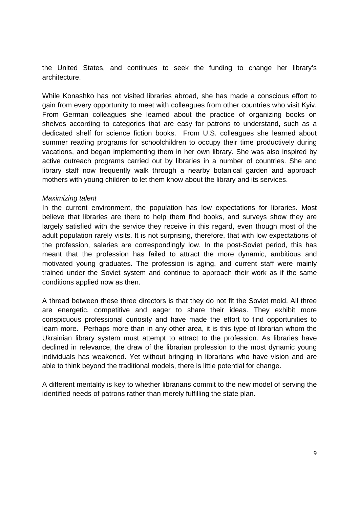the United States, and continues to seek the funding to change her library's architecture.

While Konashko has not visited libraries abroad, she has made a conscious effort to gain from every opportunity to meet with colleagues from other countries who visit Kyiv. From German colleagues she learned about the practice of organizing books on shelves according to categories that are easy for patrons to understand, such as a dedicated shelf for science fiction books. From U.S. colleagues she learned about summer reading programs for schoolchildren to occupy their time productively during vacations, and began implementing them in her own library. She was also inspired by active outreach programs carried out by libraries in a number of countries. She and library staff now frequently walk through a nearby botanical garden and approach mothers with young children to let them know about the library and its services.

#### *Maximizing talent*

In the current environment, the population has low expectations for libraries. Most believe that libraries are there to help them find books, and surveys show they are largely satisfied with the service they receive in this regard, even though most of the adult population rarely visits. It is not surprising, therefore, that with low expectations of the profession, salaries are correspondingly low. In the post-Soviet period, this has meant that the profession has failed to attract the more dynamic, ambitious and motivated young graduates. The profession is aging, and current staff were mainly trained under the Soviet system and continue to approach their work as if the same conditions applied now as then.

A thread between these three directors is that they do not fit the Soviet mold. All three are energetic, competitive and eager to share their ideas. They exhibit more conspicuous professional curiosity and have made the effort to find opportunities to learn more. Perhaps more than in any other area, it is this type of librarian whom the Ukrainian library system must attempt to attract to the profession. As libraries have declined in relevance, the draw of the librarian profession to the most dynamic young individuals has weakened. Yet without bringing in librarians who have vision and are able to think beyond the traditional models, there is little potential for change.

A different mentality is key to whether librarians commit to the new model of serving the identified needs of patrons rather than merely fulfilling the state plan.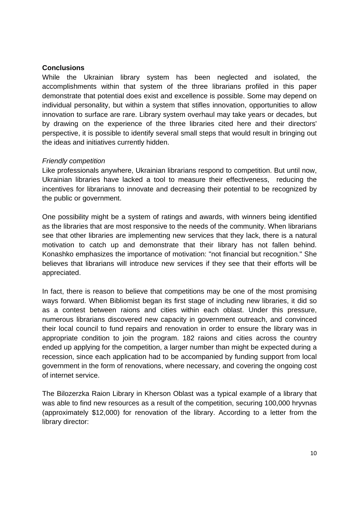## **Conclusions**

While the Ukrainian library system has been neglected and isolated, the accomplishments within that system of the three librarians profiled in this paper demonstrate that potential does exist and excellence is possible. Some may depend on individual personality, but within a system that stifles innovation, opportunities to allow innovation to surface are rare. Library system overhaul may take years or decades, but by drawing on the experience of the three libraries cited here and their directors' perspective, it is possible to identify several small steps that would result in bringing out the ideas and initiatives currently hidden.

### *Friendly competition*

Like professionals anywhere, Ukrainian librarians respond to competition. But until now, Ukrainian libraries have lacked a tool to measure their effectiveness, reducing the incentives for librarians to innovate and decreasing their potential to be recognized by the public or government.

One possibility might be a system of ratings and awards, with winners being identified as the libraries that are most responsive to the needs of the community. When librarians see that other libraries are implementing new services that they lack, there is a natural motivation to catch up and demonstrate that their library has not fallen behind. Konashko emphasizes the importance of motivation: "not financial but recognition." She believes that librarians will introduce new services if they see that their efforts will be appreciated.

In fact, there is reason to believe that competitions may be one of the most promising ways forward. When Bibliomist began its first stage of including new libraries, it did so as a contest between raions and cities within each oblast. Under this pressure, numerous librarians discovered new capacity in government outreach, and convinced their local council to fund repairs and renovation in order to ensure the library was in appropriate condition to join the program. 182 raions and cities across the country ended up applying for the competition, a larger number than might be expected during a recession, since each application had to be accompanied by funding support from local government in the form of renovations, where necessary, and covering the ongoing cost of internet service.

The Bilozerzka Raion Library in Kherson Oblast was a typical example of a library that was able to find new resources as a result of the competition, securing 100,000 hryvnas (approximately \$12,000) for renovation of the library. According to a letter from the library director: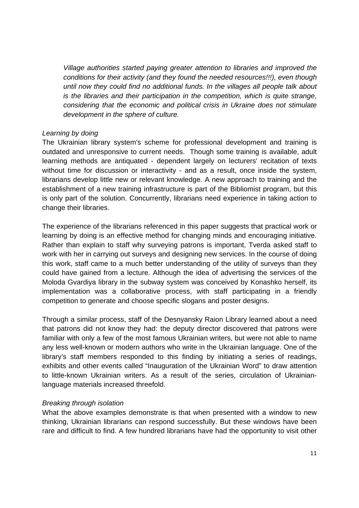*Village authorities started paying greater attention to libraries and improved the conditions for their activity (and they found the needed resources!!!), even though until now they could find no additional funds. In the villages all people talk about is the libraries and their participation in the competition, which is quite strange, considering that the economic and political crisis in Ukraine does not stimulate development in the sphere of culture.*

### *Learning by doing*

The Ukrainian library system's scheme for professional development and training is outdated and unresponsive to current needs. Though some training is available, adult learning methods are antiquated - dependent largely on lecturers' recitation of texts without time for discussion or interactivity - and as a result, once inside the system, librarians develop little new or relevant knowledge. A new approach to training and the establishment of a new training infrastructure is part of the Bibliomist program, but this is only part of the solution. Concurrently, librarians need experience in taking action to change their libraries.

The experience of the librarians referenced in this paper suggests that practical work or learning by doing is an effective method for changing minds and encouraging initiative. Rather than explain to staff why surveying patrons is important, Tverda asked staff to work with her in carrying out surveys and designing new services. In the course of doing this work, staff came to a much better understanding of the utility of surveys than they could have gained from a lecture. Although the idea of advertising the services of the Moloda Gvardiya library in the subway system was conceived by Konashko herself, its implementation was a collaborative process, with staff participating in a friendly competition to generate and choose specific slogans and poster designs.

Through a similar process, staff of the Desnyansky Raion Library learned about a need that patrons did not know they had: the deputy director discovered that patrons were familiar with only a few of the most famous Ukrainian writers, but were not able to name any less well-known or modern authors who write in the Ukrainian language. One of the library's staff members responded to this finding by initiating a series of readings, exhibits and other events called "Inauguration of the Ukrainian Word" to draw attention to little-known Ukrainian writers. As a result of the series, circulation of Ukrainianlanguage materials increased threefold.

## *Breaking through isolation*

What the above examples demonstrate is that when presented with a window to new thinking, Ukrainian librarians can respond successfully. But these windows have been rare and difficult to find. A few hundred librarians have had the opportunity to visit other